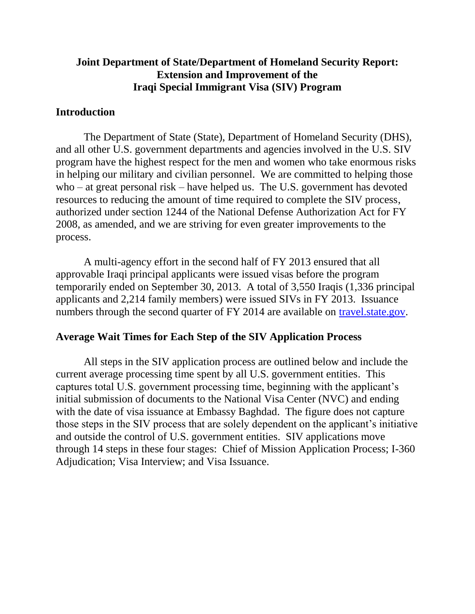## **Joint Department of State/Department of Homeland Security Report: Extension and Improvement of the Iraqi Special Immigrant Visa (SIV) Program**

### **Introduction**

The Department of State (State), Department of Homeland Security (DHS), and all other U.S. government departments and agencies involved in the U.S. SIV program have the highest respect for the men and women who take enormous risks in helping our military and civilian personnel. We are committed to helping those who – at great personal risk – have helped us. The U.S. government has devoted resources to reducing the amount of time required to complete the SIV process, authorized under section 1244 of the National Defense Authorization Act for FY 2008, as amended, and we are striving for even greater improvements to the process.

A multi-agency effort in the second half of FY 2013 ensured that all approvable Iraqi principal applicants were issued visas before the program temporarily ended on September 30, 2013. A total of 3,550 Iraqis (1,336 principal applicants and 2,214 family members) were issued SIVs in FY 2013. Issuance numbers through the second quarter of FY 2014 are available on [travel.state.gov.](http://travel.state.gov/content/visas/english/law-and-policy/statistics/immigrant-visas.html)

#### **Average Wait Times for Each Step of the SIV Application Process**

All steps in the SIV application process are outlined below and include the current average processing time spent by all U.S. government entities. This captures total U.S. government processing time, beginning with the applicant's initial submission of documents to the National Visa Center (NVC) and ending with the date of visa issuance at Embassy Baghdad. The figure does not capture those steps in the SIV process that are solely dependent on the applicant's initiative and outside the control of U.S. government entities. SIV applications move through 14 steps in these four stages: Chief of Mission Application Process; I-360 Adjudication; Visa Interview; and Visa Issuance.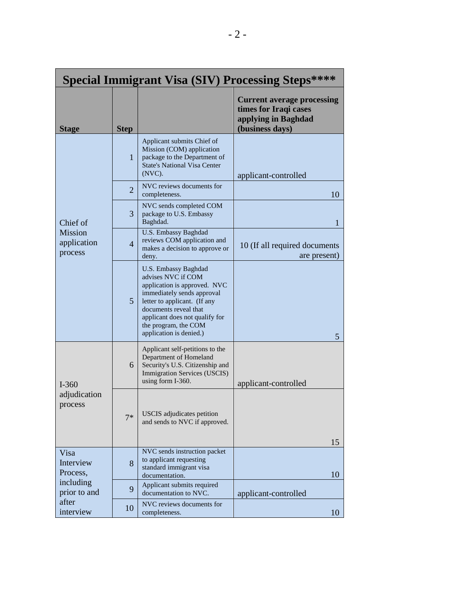| <b>Special Immigrant Visa (SIV) Processing Steps****</b>                         |                |                                                                                                                                                                                                                                                        |                                                                                                      |  |  |  |
|----------------------------------------------------------------------------------|----------------|--------------------------------------------------------------------------------------------------------------------------------------------------------------------------------------------------------------------------------------------------------|------------------------------------------------------------------------------------------------------|--|--|--|
| <b>Stage</b>                                                                     | <b>Step</b>    |                                                                                                                                                                                                                                                        | <b>Current average processing</b><br>times for Iraqi cases<br>applying in Baghdad<br>(business days) |  |  |  |
| Chief of<br><b>Mission</b><br>application<br>process                             | $\mathbf{1}$   | Applicant submits Chief of<br>Mission (COM) application<br>package to the Department of<br><b>State's National Visa Center</b><br>$(NVC)$ .                                                                                                            | applicant-controlled                                                                                 |  |  |  |
|                                                                                  | $\overline{2}$ | NVC reviews documents for<br>completeness.                                                                                                                                                                                                             | 10                                                                                                   |  |  |  |
|                                                                                  | 3              | NVC sends completed COM<br>package to U.S. Embassy<br>Baghdad.                                                                                                                                                                                         | 1                                                                                                    |  |  |  |
|                                                                                  | $\overline{4}$ | <b>U.S. Embassy Baghdad</b><br>reviews COM application and<br>makes a decision to approve or<br>deny.                                                                                                                                                  | 10 (If all required documents<br>are present)                                                        |  |  |  |
|                                                                                  | $\overline{5}$ | U.S. Embassy Baghdad<br>advises NVC if COM<br>application is approved. NVC<br>immediately sends approval<br>letter to applicant. (If any<br>documents reveal that<br>applicant does not qualify for<br>the program, the COM<br>application is denied.) | 5                                                                                                    |  |  |  |
| $I-360$<br>adjudication<br>process                                               | 6              | Applicant self-petitions to the<br>Department of Homeland<br>Security's U.S. Citizenship and<br><b>Immigration Services (USCIS)</b><br>using form I-360.                                                                                               | applicant-controlled                                                                                 |  |  |  |
|                                                                                  | $7*$           | <b>USCIS</b> adjudicates petition<br>and sends to NVC if approved.                                                                                                                                                                                     | 15                                                                                                   |  |  |  |
| Visa<br>Interview<br>Process,<br>including<br>prior to and<br>after<br>interview | 8              | NVC sends instruction packet<br>to applicant requesting<br>standard immigrant visa<br>documentation.                                                                                                                                                   | 10                                                                                                   |  |  |  |
|                                                                                  | 9              | Applicant submits required<br>documentation to NVC.                                                                                                                                                                                                    | applicant-controlled                                                                                 |  |  |  |
|                                                                                  | 10             | NVC reviews documents for<br>completeness.                                                                                                                                                                                                             | 10                                                                                                   |  |  |  |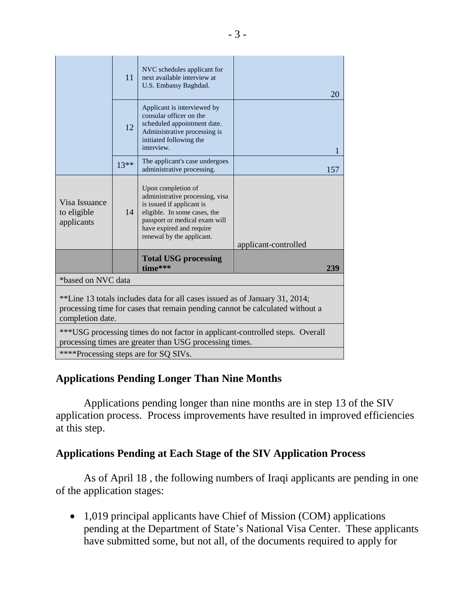|                                                                                                                                                                                 | 11     | NVC schedules applicant for<br>next available interview at<br>U.S. Embassy Baghdad.                                                                                                                          | 20                   |  |  |  |
|---------------------------------------------------------------------------------------------------------------------------------------------------------------------------------|--------|--------------------------------------------------------------------------------------------------------------------------------------------------------------------------------------------------------------|----------------------|--|--|--|
|                                                                                                                                                                                 | 12     | Applicant is interviewed by<br>consular officer on the<br>scheduled appointment date.<br>Administrative processing is<br>initiated following the<br>interview.                                               | 1                    |  |  |  |
|                                                                                                                                                                                 | $13**$ | The applicant's case undergoes<br>administrative processing.                                                                                                                                                 | 157                  |  |  |  |
| Visa Issuance<br>to eligible<br>applicants                                                                                                                                      | 14     | Upon completion of<br>administrative processing, visa<br>is issued if applicant is<br>eligible. In some cases, the<br>passport or medical exam will<br>have expired and require<br>renewal by the applicant. | applicant-controlled |  |  |  |
|                                                                                                                                                                                 |        | <b>Total USG processing</b><br>time***                                                                                                                                                                       | 239                  |  |  |  |
| *based on NVC data                                                                                                                                                              |        |                                                                                                                                                                                                              |                      |  |  |  |
| **Line 13 totals includes data for all cases issued as of January 31, 2014;<br>processing time for cases that remain pending cannot be calculated without a<br>completion date. |        |                                                                                                                                                                                                              |                      |  |  |  |
| ***USG processing times do not factor in applicant-controlled steps. Overall<br>processing times are greater than USG processing times.                                         |        |                                                                                                                                                                                                              |                      |  |  |  |
| ****Processing steps are for SQ SIVs.                                                                                                                                           |        |                                                                                                                                                                                                              |                      |  |  |  |

# **Applications Pending Longer Than Nine Months**

Applications pending longer than nine months are in step 13 of the SIV application process. Process improvements have resulted in improved efficiencies at this step.

# **Applications Pending at Each Stage of the SIV Application Process**

As of April 18 , the following numbers of Iraqi applicants are pending in one of the application stages:

• 1,019 principal applicants have Chief of Mission (COM) applications pending at the Department of State's National Visa Center. These applicants have submitted some, but not all, of the documents required to apply for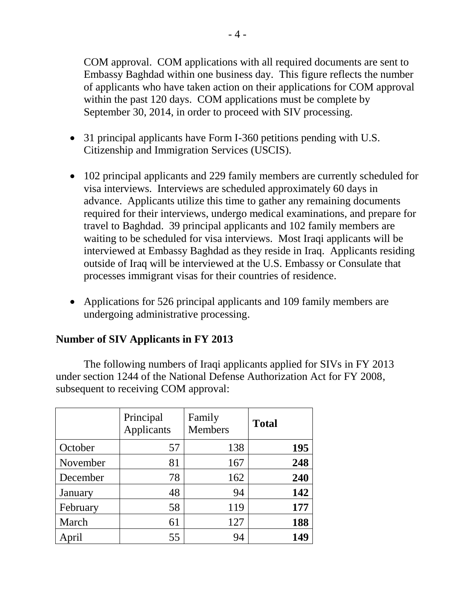COM approval. COM applications with all required documents are sent to Embassy Baghdad within one business day. This figure reflects the number of applicants who have taken action on their applications for COM approval within the past 120 days. COM applications must be complete by September 30, 2014, in order to proceed with SIV processing.

- 31 principal applicants have Form I-360 petitions pending with U.S. Citizenship and Immigration Services (USCIS).
- 102 principal applicants and 229 family members are currently scheduled for visa interviews. Interviews are scheduled approximately 60 days in advance. Applicants utilize this time to gather any remaining documents required for their interviews, undergo medical examinations, and prepare for travel to Baghdad. 39 principal applicants and 102 family members are waiting to be scheduled for visa interviews. Most Iraqi applicants will be interviewed at Embassy Baghdad as they reside in Iraq. Applicants residing outside of Iraq will be interviewed at the U.S. Embassy or Consulate that processes immigrant visas for their countries of residence.
- Applications for 526 principal applicants and 109 family members are undergoing administrative processing.

### **Number of SIV Applicants in FY 2013**

The following numbers of Iraqi applicants applied for SIVs in FY 2013 under section 1244 of the National Defense Authorization Act for FY 2008, subsequent to receiving COM approval:

|          | Principal<br>Applicants | Family<br><b>Members</b> | <b>Total</b> |
|----------|-------------------------|--------------------------|--------------|
| October  | 57                      | 138                      | 195          |
| November | 81                      | 167                      | 248          |
| December | 78                      | 162                      | 240          |
| January  | 48                      | 94                       | 142          |
| February | 58                      | 119                      | 177          |
| March    | 61                      | 127                      | 188          |
| April    | 55                      | 94                       | 149          |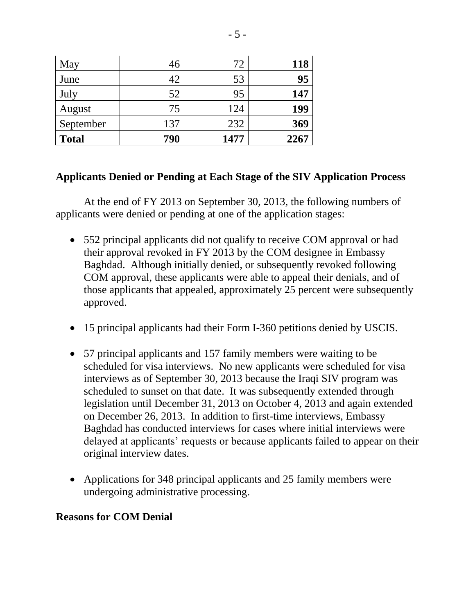| May          | 46  | 72   | 118  |
|--------------|-----|------|------|
| June         | 42  | 53   | 95   |
| July         | 52  | 95   | 147  |
| August       | 75  | 124  | 199  |
| September    | 137 | 232  | 369  |
| <b>Total</b> | 790 | 1477 | 2267 |

### **Applicants Denied or Pending at Each Stage of the SIV Application Process**

At the end of FY 2013 on September 30, 2013, the following numbers of applicants were denied or pending at one of the application stages:

- 552 principal applicants did not qualify to receive COM approval or had their approval revoked in FY 2013 by the COM designee in Embassy Baghdad. Although initially denied, or subsequently revoked following COM approval, these applicants were able to appeal their denials, and of those applicants that appealed, approximately 25 percent were subsequently approved.
- 15 principal applicants had their Form I-360 petitions denied by USCIS.
- 57 principal applicants and 157 family members were waiting to be scheduled for visa interviews. No new applicants were scheduled for visa interviews as of September 30, 2013 because the Iraqi SIV program was scheduled to sunset on that date. It was subsequently extended through legislation until December 31, 2013 on October 4, 2013 and again extended on December 26, 2013. In addition to first-time interviews, Embassy Baghdad has conducted interviews for cases where initial interviews were delayed at applicants' requests or because applicants failed to appear on their original interview dates.
- Applications for 348 principal applicants and 25 family members were undergoing administrative processing.

#### **Reasons for COM Denial**